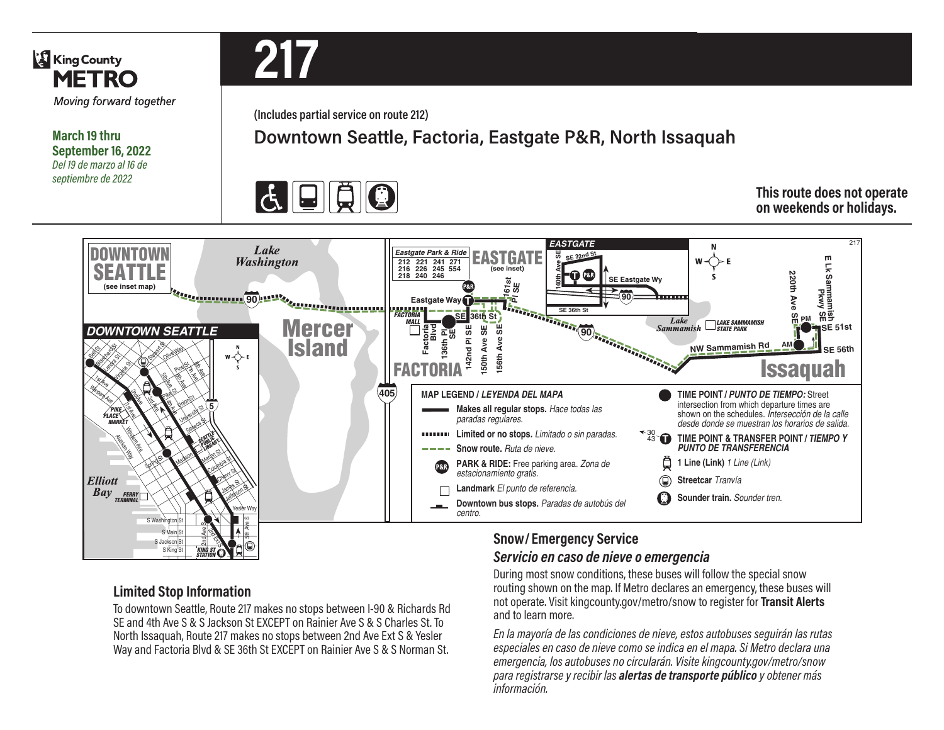**King County METRO** Moving forward together

> **March 19 thru September 16, 2022** *Del 19 de marzo al 16 de septiembre de 2022*

**217**

**(Includes partial service on route 212)**

**Downtown Seattle, Factoria, Eastgate P&R, North Issaquah**



**This route does not operate on weekends or holidays.**



## *Servicio en caso de nieve o emergencia*

During most snow conditions, these buses will follow the special snow routing shown on the map. If Metro declares an emergency, these buses will not operate. Visit kingcounty.gov/metro/snow to register for **Transit Alerts** and to learn more.

*En la mayoría de las condiciones de nieve, estos autobuses seguirán las rutas especiales en caso de nieve como se indica en el mapa. Si Metro declara una emergencia, los autobuses no circularán. Visite kingcounty.gov/metro/snow para registrarse y recibir las alertas de transporte público y obtener más información.*

#### **Limited Stop Information**

*STATION*

To downtown Seattle, Route 217 makes no stops between I-90 & Richards Rd SE and 4th Ave S & S Jackson St EXCEPT on Rainier Ave S & S Charles St. To North Issaquah, Route 217 makes no stops between 2nd Ave Ext S & Yesler Way and Factoria Blvd & SE 36th St EXCEPT on Rainier Ave S & S Norman St.